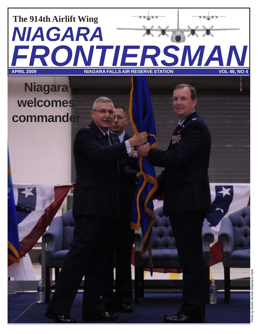# **FRONTIERSMAN APRIL 2009 NIAGARA FALLS AIR RESERVE STATION VOL 46, NO 4** *NIAGARA* **The 914th Airlift Wing**

## **Niagara welcomes commander**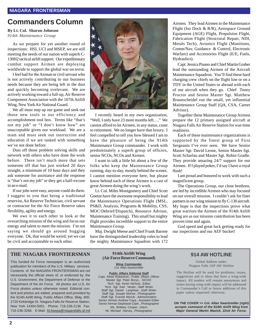### **Commanders Column**

### **By Lt. Col. Sharon Johnson** *914th Maintenance Group*

As we prepare for yet another round of inspections: HSI, UCI and MSEP, we are still meeting the needs of our nation with superb C-130H2 tactical airlift support. Our expeditionary combat support Airmen are deploying worldwide to support the global war on terror.

I feel bad for the Airman or civil servant who is not actively contributing to our business needs because they are being left in the dust and quickly becoming irrelevant. We are actively working toward a full-up, Air Reserve Component Association with the 107th Airlift Wing, New York Air National Guard.

We all must step up our game and seek out those new tools in our efficiency and accomplishment tool box. Terms like "that's not my job" or "I don't know how" are unacceptable given our workload. We are a team and must seek out instruction and education if we are tasked with something we've not done before.

Dust off those problem solving skills and network with others who have done the work before. There isn't much more that sets someone off that has just worked 20 days straight, a minimum of 10 hour days and they ask someone for assistance and the response is "that's not my job" or they get a half-excuse in an e-mail.

If our jobs were easy, anyone could do them. I suggest to you that being a traditional reservist, Air Reserve Technician, civil servant or contractor for the Air Force Reserve takes flexibility, agility and energy.

We owe it to each other to look at the overarching mission of the wing and focus our energy and talent to meet the mission. I'm not saying we should go around hugging everyone. Ok, that would be weird; yet we can be civil and accountable to each other.



I recently heard in my own organization, "Well, I only have 23 more months left…." We cannot afford to let Airmen, in any status, coast to retirement. We no longer have that luxury. I feel compelled to tell you how blessed I am to have the pleasure of being the 914th Maintenance Group commander. I work with predominately a superb group of officers, senior NCOs, NCOs and Airmen.

I want to talk a little bit about a few of the folks who keep the Maintenance Group running, day-to-day, mostly behind the scenes. I cannot mention everyone here, but please know behind each of these Airmen is a cast of great Airmen doing the wing's work.

Lt. Col. Miles Montgomery and Chief Scott Goetze have the awesome responsibility to lead the Maintenance Operations Flight (MSL, PS&D, Analysis, Programs & Mobility, CSS, MOC/Debrief/Dispatch), Resource Advisor, Maintenance Training). This small but mighty flight provides incredible support to the entire Maintenance Group.

Maj. Dwight Meese and Chief Frank Barone have the distinguished leadership roles to lead the mighty Maintenance Squadron with 172

Airmen. They lead Airmen in the Maintenance Flight (Iso Dock & R/R), Aerospace Ground Equipment (AGE) Flight, Propulsion Flight, Fabrication Flight (Structural Repair, NDI, Metals Tech), Avionics Flight (Munitions, Comm/Nav, Guidance & Control, Electronic Warfare) and Accessories Flight (E/E, Fuels, Hydraulics).

Capt. Jessica Pisano and Chief Martin Gruber lead the outstanding Airmen of the Aircraft Maintenance Squadron. You'll find these hard charging crew chiefs on the flight line or on a TDY in the United States or abroad with each of our aircraft when they go. Chief Toney Proctor and Senior Master Sgt. Matthew Braunscheidel run the small, yet influential Maintenance Group Staff (QA, CSA, Career Advisor).

Together these Maintenance Group Airmen prepare the 12 primary assigned aircraft at Niagara Falls Air Reserve Station for war-time readiness.

Each of these maintenance organizations is supported by the finest group of First Sergeants I've ever seen. We have Senior Master Sgt. David Leone, Senior Master Sgt. Scott Scharlau and Master Sgt. Robin Gradle. They provide amazing 24/7 support for our Airmen. If I played poker, I'd say I have a royal flush!

I am proud and honored to work with such a magnificent group.

The Operations Group, our close brethren, are led by incredible Airmen who stay focused on our overall mission. I couldn't ask for finer partners in our wing mission to fly C-130 aircraft. My hope is that the inspections prove what great warriors the Airmen of the 914th Airlift Wing are as our mission contribution has been proven time and again.

God speed and great luck getting ready for our inspections and our AEF bucket!

### **THE NIAGARA FRONTIERSMAN 914th Airlift Wing**

This funded Air Force newspaper is an authorized publication for members of the U.S. Military services. Contents of the NIAGARA FRONTIERSMAN are not necessarily the official views of, or endorsed by, the U.S. Government, the Department of Defense or the Department of the Air Force. All photos are U.S. Air Force photos unless otherwise noted. Editorial content and photos are edited, prepared and provided by the 914th Airlift Wing, Public Affairs Office, Bldg. 800, 2720 Kirkbridge Dr. Niagara Falls Air Reserve Station, New York 14304-5001. Phone: 716-236-2136 Fax: 716-236-3268. E-Mail: 914awpa@niagarafalls.af.mil

**(Air Force Reserve Command)**

**Wing Commander** Col. Allan Swartzmiller

**Public Affairs Editorial Staff** Capt. Reed Robertson...Public Affairs Officer Master Sgt. Peter Borys... NCOIC Tech. Sgt. Kevin Nichols...Editor Tech. Sgt. Karl Vester...Staff Writer Staff Sgt. Daniel Lanphear...Staff Writer Staff Sgt. Joseph McKee...Photographer Staff Sgt. Everett Myrick...Administration Senior Airman Andrew Caya...Assistant Editor Senior Airman Stephanie Clark...Photographer Ms. Brittany Cooper...Intern Mr. Michael Harvey...Photographer

### **914 AW HOTLINE**

Global Address under: Niagara Falls IAP AW Hotline

The Hotline will be used for problems, issues, suggestions and or ideas that have a wing-wide impact. All senders will remain anonymous and issues having wing-wide impact will be addressed in Commander's Call or future additions of this paper unless requested otherwise.

*ON THE COVER >> Col. Allan Swartzmiller (right) accepts command of the 914th Airlift Wing from Major General Martin Mazick, 22nd Air Force.*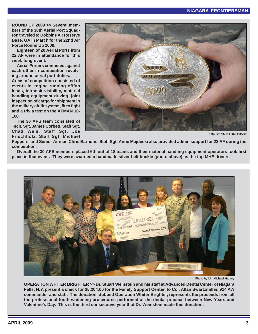**ROUND UP 2009 >> Several members of the 30th Aerial Port Squadron traveled to Dobbins Air Reserve Base, GA in March for the 22nd Air Force Round Up 2009.**

**Eighteen of 20 Aerial Ports from 22 AF were in attendance for this week long event.**

**Aerial Porters competed against each other in competition revolving around aerial port duties. Areas of competition consisted of events in engine running off/on loads, intransit visibility, material handling equipment driving, joint inspection of cargo for shipment in the military airlift system, fit to fight and a trivia test on the AFMAN 10- 100.**

**The 30 APS team consisted of Tech. Sgt. James Corbett, Staff Sgt. Chad Weis, Staff Sgt. Joe Frischholz, Staff Sgt. Michael**



Photo by Mr. Michael Harvey

**Peppers, and Senior Airman Chris Barnum. Staff Sgt. Anne Majdecki also provided admin support for 22 AF during the competition.**

**Overall the 30 APS members placed 6th out of 18 teams and their material handling equipment operators took first place in that event. They were awarded a handmade silver belt buckle (photo above) as the top MHE drivers.**



Photo by Mr. Michael Harvey

**OPERATION WHITER BRIGHTER >> Dr. Stuart Weinstein and his staff at Advanced Dental Center of Niagara Falls, N.Y. present a check for \$5,204.00 for the Family Support Center, to Col. Allan Swartzmiller, 914 AW commander and staff. The donation, dubbed Operation Whiter Brighter, represents the proceeds from all the professional tooth whitening procedures performed at the dental practice between New Years and Valentine's Day. This is the third consecutive year that Dr. Weinstein made this donation.**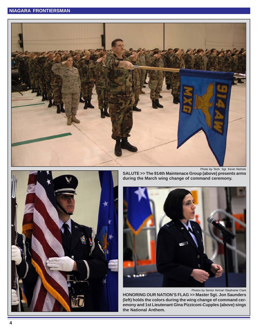



**SALUTE >> The 914th Maintenace Group (above) presents arms during the March wing change of command ceremony.**



Photos by Senior Airman Stephanie Clark

**HONORING OUR NATION'S FLAG >> Master Sgt. Jon Saunders (left) holds the colors during the wing change of command ceremony and 1st Lieutenant Gina Pizziconi-Cupples (above) sings the National Anthem.**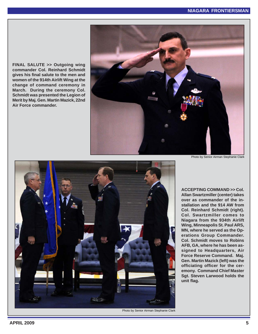**FINAL SALUTE >> Outgoing wing commander Col. Reinhard Schmidt gives his final salute to the men and women of the 914th Airlift Wing at the change of command ceremony in March. During the ceremony Col. Schmidt was presented the Legion of Merit by Maj. Gen. Martin Mazick, 22nd Air Force commander.**





Photo by Senior Airman Stephanie Clark

**ACCEPTING COMMAND >> Col. Allan Swartzmiller (center) takes over as commander of the installation and the 914 AW from Col. Reinhard Schmidt (right). Col. Swartzmiller comes to Niagara from the 934th Airlift Wing, Minneapolis St. Paul ARS, MN, where he served as the Operations Group Commander. Col. Schmidt moves to Robins AFB, GA, where he has been assigned to Headquarters, Air Force Reserve Command. Maj. Gen. Martin Mazick (left) was the officiating officer for the ceremony. Command Chief Master Sgt. Steven Larwood holds the unit flag.**

Photo by Senior Airman Stephanie Clark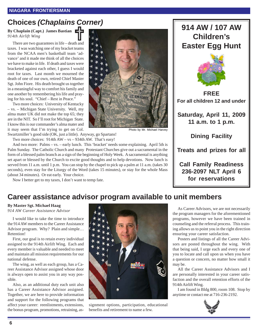### **Choices** *(Chaplains Corner)*

### **By Chaplain (Capt.) James Bastian** *914th Airlift Wing*

There are two guarantees in life – death and taxes. I was watching one of my bracket teams from the NCAA men's basketball team 'advance' and it made me think of all the choices we have to make in life. If death and taxes were bracketed against each other, I guess I would root for taxes. Last month we mourned the death of one of our own, retired Chief Master Sgt. John Fiore. His death brought us together in a meaningful way to comfort his family and one another by remembering his life and praying for his soul. "Chief – Rest in Peace."

Two more choices: University of Kentucky – vs. – Michigan State University. Well, my alma mater UK did not make the top 65; they are in the NIT. So I'll root for Michigan State. I know this is our commander's alma mater and it may seem that I'm trying to get on Col.

Swartzmiller's good side (OK, just a little). Anyway, go Spartans!

Two more choices: 914th AW – vs – 934th AW. That's easy!

And two more: Palms – vs. – early lunch. This 'bracket' needs some explaining. April 5th is Palm Sunday. The Catholic Church and many Protestant Churches give out a sacramental in the form of a blessed palm branch as a sign of the beginning of Holy Week. A sacramental is anything set apart or blessed by the Church to excite good thoughts and to help devotions. Now lunch is served from 11 a.m. until 1 p.m. You can stop by the chapel to pick up a palm at 11 a.m. (takes 30 seconds), even stay for the Liturgy of the Word (takes 15 minutes), or stay for the whole Mass (about 34 minutes). Or eat early. Your choice.

Now I better get to my taxes, I don't want to temp fate.



Photo by Mr. Michael Harvey





**FREE For all children 12 and under**

**Saturday, April 11, 2009 11 a.m. to 1 p.m.**

**Dining Facility**

### **Treats and prizes for all**

**Call Family Readiness 236-2097 NLT April 6 for reservations**

### **Career assistance advisor program available to unit members**

### **By Master Sgt. Michael Haag**

*914 AW Career Assistance Advisor*

I would like to take the time to introduce the 914 AW members to the Career Assistance Advisor program. Why? Plain and simple… Retention!

First, our goal is to retain every individual assigned to the 914th Airlift Wing. Each and every member is valuable and needed to meet and maintain all mission requirements for our national defense.

The wing, as well as each group, has a Career Assistance Advisor assigned whose door is always open to assist you in any way possible.

Also, as an additional duty each unit also has a Career Assistance Advisor assigned. Together, we are here to provide information and support for the following programs that affect your career: reenlistments, extensions, the bonus program, promotions, retraining, as-



signment options, participation, educational benefits and retirement to name a few.

As Career Advisors, we are not necessarily the program managers for the aforementioned programs, however we have been trained in counseling and the referral process. This training allows us to point you in the right direction ensuring your career satisfaction.

Posters and listings of all the Career Advisors are posted throughout the wing. With that being said, I urge each and every one of you to locate and call upon us when you have a question or concern, no matter how small it may be.

All the Career Assistance Advisors and I are personally interested in your career satisfaction and the overall retention efforts of the 914th Airlift Wing.

I am found in Bldg 800, room 108. Stop by anytime or contact me at 716-236-2192.

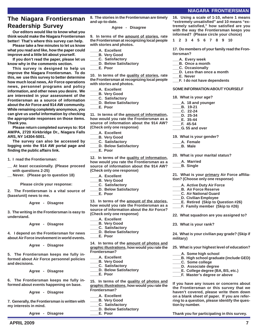### **NIAGARA FRONTIERSMAN**

### **The Niagara Frontiersman Readership Survey**

**Our editors would like to know what you think would make the Niagara Frontiersman better! That's where this survey can help.**

**Please take a few minutes to let us know what you read and like, how the paper could improve and a little bit about yourself.**

**If you don't read the paper, please let us know why in the comments section.**

**This survey is designed to help us improve the Niagara Frontiersman. To do this, we use this survey to better determine how much local news, Air Force operations news, personnel programs and policy information, and other news you desire. We are interested in your assessment of the Frontiersman as a source of information about the Air Force and 914 AW community. While remaining completely anonymous, you can give us useful information by checking the appropriate responses on those items. Thank you.**

**Please return completed surveys to: 914 AW/PA, 2720 Kirkbridge Dr., Niagara Falls ARS, NY 14304-5001.**

**The survey can also be accessed by logging onto the 914 AW portal page and finding the public affairs link.**

**1. I read the Frontiersman:**

**\_\_ At least occasionally. (Please proceed with questions 2-25)**

**\_\_ Never. (Please go to question 18)**

**Please circle your response:**

**2. The Frontiersman is a vital source of (base/unit) news to me.**

**Agree - Disagree**

**3. The writing in the Frontiersman is easy to understand.**

**Agree - Disagree**

**4. I depend on the Frontiersman for news about Air Force involvement in world events.**

**Agree - Disagree**

**5. The Frontiersman keeps me fully informed about Air Force personnel policies and decisions.**

**Agree - Disagree**

**6. The Frontiersman keeps me fully informed about events happening on base.**

**Agree - Disagree**

**7. Generally, the Frontiersman is written with my interests in mind.**

**Agree - Disagree**

**8. The stories in the Frontiersman are timely and up-to-date.**

#### **Agree - Disagree**

**9. In terms of the amount of stories, rate the Frontiersman at recognizing local people with stories and photos.**

- **\_\_\_\_A. Excellent**
- **\_\_\_\_B. Very Good**
- **\_\_\_\_C. Satisfactory**
- **\_\_\_\_D. Below Satisfactory**
- **\_\_\_\_E. Poor**

**10. In terms of the quality of stories, rate the Frontiersman at recognizing local people with stories and photos.**

- **\_\_\_\_A. Excellent**
- **\_\_\_\_B. Very Good**
- **\_\_\_\_C. Satisfactory**
- **\_\_\_\_D. Below Satisfactory**
- **\_\_\_\_E. Poor**

**11. In terms of the amount of information, how would you rate the Frontiersman as a source of information about the 914 AW? (Check only one response)**

- **\_\_\_\_A. Excellent**
- **\_\_\_\_B. Very Good**
- **\_\_\_\_C. Satisfactory**
- **\_\_\_\_D. Below Satisfactory**
- **\_\_\_\_E. Poor**

**12. In terms of the quality of information, how would you rate the Frontiersman as a source of information about the 914 AW? (Check only one response)**

- **\_\_\_\_A. Excellent**
- **\_\_\_\_B. Very Good**
- **\_\_\_\_C. Satisfactory**
- **\_\_\_\_D. Below Satisfactory**
- **\_\_\_\_E. Poor**

**13. In terms of the amount of the stories, how would you rate the Frontiersman as a source of information about the Air Force? (Check only one response)**

- **\_\_\_\_A. Excellent**
- **\_\_\_\_B. Very Good**
- **\_\_\_\_C. Satisfactory**
- **\_\_\_\_D. Below Satisfactory**
	- **\_\_\_\_E. Poor**

**14. In terms of the amount of photos and graphic illustrations, how would you rate the Frontiersman?**

- **\_\_\_\_A. Excellent**
- **\_\_\_\_B. Very Good**
- **\_\_\_\_C. Satisfactory**
- **\_\_\_\_D. Below Satisfactory**
- **\_\_\_\_E. Poor**

**15. In terms of the quality of photos and graphic illustrations, how would you rate the Frontiersman?**

**APRIL 2009 7**

- **\_\_\_\_A. Excellent**
- **\_\_\_\_B. Very Good**
- **\_\_\_\_C. Satisfactory**
- **\_\_\_\_D. Below Satisfactory**
- **\_\_\_\_E. Poor**

**16. Using a scale of 1-10, where 1 means "extremely unsatisfied" and 10 means "extremely satisfied," how satisfied are you with the way the Frontiersman keeps you informed? (Please circle your choice)**

**1 2 3 4 5 6 7 8 9 10**

**17. Do members of your family read the Frontiersman?**

- **\_\_\_A. Every week**
- **\_\_\_B. Once a month**
- **\_\_\_C. Occasionally**
- **\_\_\_D. Less than once a month**
- **\_\_\_E. Never**
- **\_\_\_F. I do not have dependents**

#### **SOME INFORMATION ABOUT YOURSELF**

#### **18. What is your age?**

- **\_\_\_\_A. 18 and younger**
- **\_\_\_\_B. 19-21**
- **\_\_\_\_C. 22-24 \_\_\_\_D. 25-34**
- **\_\_\_\_E. 35-44**
- **\_\_\_\_F. 45-54**
- **\_\_\_\_G. 55 and over**

**19. What is your gender?**

- **\_\_\_\_A. Female**
- **\_\_\_\_B. Male**

**20. What is your marital status?**

- **\_\_\_\_A. Married**
- **\_\_\_\_B. Single**

**21. What is your primary Air Force affiliation? (Choose only one response)**

- **\_\_\_\_A. Active Duty Air Force**
- **\_\_\_\_B. Air Force Reserve**
	- **\_\_\_\_C. Air National Guard**
- **\_\_\_\_D. Civilian Employee**
- **\_\_\_\_E. Retired (Skip to Question #26)**
- **\_\_\_\_F. Family member (Skip to #26)**
- **22. What squadron are you assigned to?**

**24. What is your civilian pay grade? (Skip if**

**25. What is your highest level of education?**

**\_\_\_\_E. College degree (BA, BS, etc.) \_\_\_\_F. Master's degree or above**

**If you have any issues or concerns about the Frontiersman or this survey that we haven't covered, please write them down on a blank sheet of paper. If you are referring to a question, please identify the ques-**

**Thank you for participating in this survey.**

**\_\_\_\_B. High school graduate (include GED)**

**\_\_\_\_A. Some high school**

**\_\_\_\_C. Some college \_\_\_\_D. Associate degree**

**tion by number.**

**23. What is your rank?**

**military)**